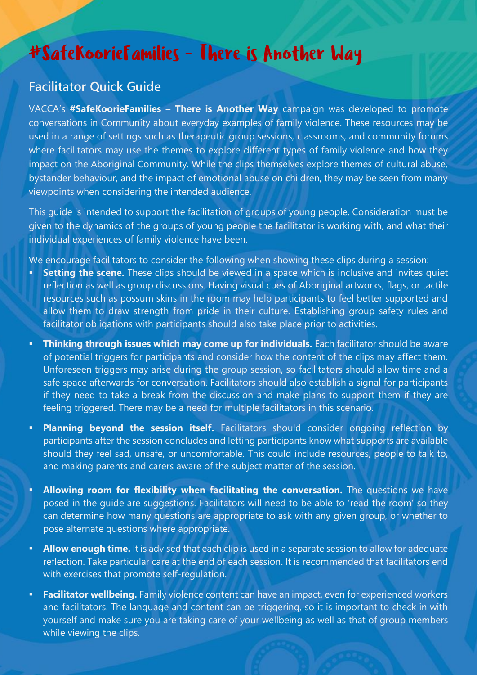### #SafeKoorieFamilies - There is Another Way

### **Facilitator Quick Guide**

VACCA's **#SafeKoorieFamilies – There is Another Way** campaign was developed to promote conversations in Community about everyday examples of family violence. These resources may be used in a range of settings such as therapeutic group sessions, classrooms, and community forums where facilitators may use the themes to explore different types of family violence and how they impact on the Aboriginal Community. While the clips themselves explore themes of cultural abuse, bystander behaviour, and the impact of emotional abuse on children, they may be seen from many viewpoints when considering the intended audience.

This guide is intended to support the facilitation of groups of young people. Consideration must be given to the dynamics of the groups of young people the facilitator is working with, and what their individual experiences of family violence have been.

We encourage facilitators to consider the following when showing these clips during a session:

- **Setting the scene.** These clips should be viewed in a space which is inclusive and invites quiet reflection as well as group discussions. Having visual cues of Aboriginal artworks, flags, or tactile resources such as possum skins in the room may help participants to feel better supported and allow them to draw strength from pride in their culture. Establishing group safety rules and facilitator obligations with participants should also take place prior to activities.
- **Thinking through issues which may come up for individuals.** Each facilitator should be aware of potential triggers for participants and consider how the content of the clips may affect them. Unforeseen triggers may arise during the group session, so facilitators should allow time and a safe space afterwards for conversation. Facilitators should also establish a signal for participants if they need to take a break from the discussion and make plans to support them if they are feeling triggered. There may be a need for multiple facilitators in this scenario.
- **Planning beyond the session itself.** Facilitators should consider ongoing reflection by participants after the session concludes and letting participants know what supports are available should they feel sad, unsafe, or uncomfortable. This could include resources, people to talk to, and making parents and carers aware of the subject matter of the session.
- **EXTED FIGHTED FIGHTED FIGHTED THE Allowing room for flexibility when facilitating the conversation.** The questions we have posed in the guide are suggestions. Facilitators will need to be able to 'read the room' so they can determine how many questions are appropriate to ask with any given group, or whether to pose alternate questions where appropriate.
- Allow enough time. It is advised that each clip is used in a separate session to allow for adequate reflection. Take particular care at the end of each session. It is recommended that facilitators end with exercises that promote self-regulation.
- **Eacilitator wellbeing.** Family violence content can have an impact, even for experienced workers and facilitators. The language and content can be triggering, so it is important to check in with yourself and make sure you are taking care of your wellbeing as well as that of group members while viewing the clips.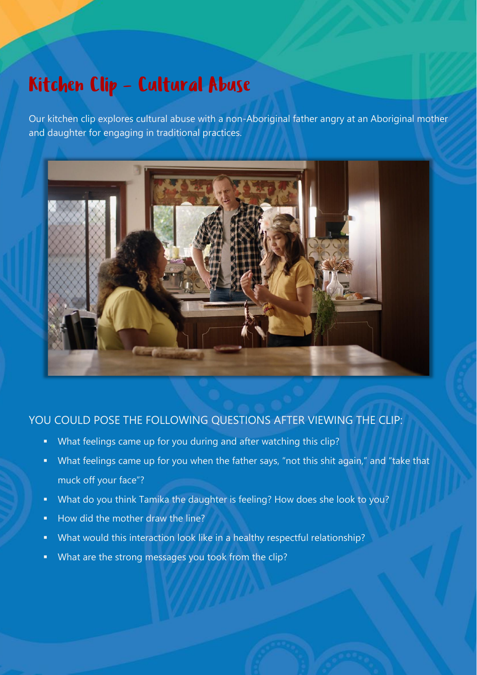## Kitchen Clip - Cultural Abuse

Our kitchen clip explores cultural abuse with a non-Aboriginal father angry at an Aboriginal mother and daughter for engaging in traditional practices.



#### YOU COULD POSE THE FOLLOWING QUESTIONS AFTER VIEWING THE CLIP:

- What feelings came up for you during and after watching this clip?
- What feelings came up for you when the father says, "not this shit again," and "take that muck off your face"?
- What do you think Tamika the daughter is feeling? How does she look to you?
- How did the mother draw the line?
- What would this interaction look like in a healthy respectful relationship?
- What are the strong messages you took from the clip?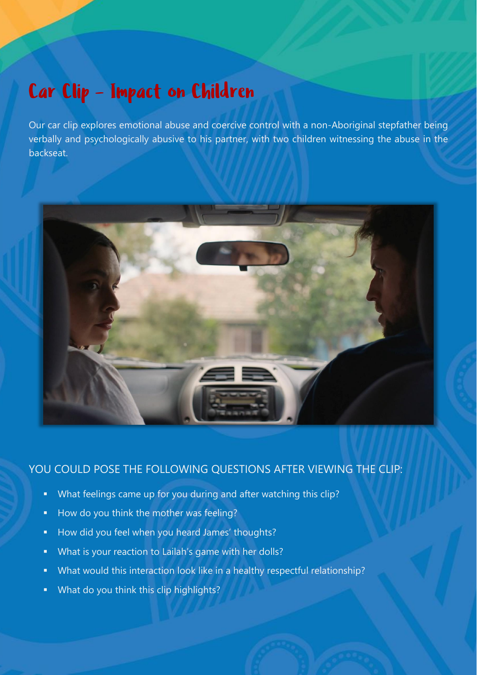## Car Clip - Impact on Children

Our car clip explores emotional abuse and coercive control with a non-Aboriginal stepfather being verbally and psychologically abusive to his partner, with two children witnessing the abuse in the backseat.



### YOU COULD POSE THE FOLLOWING QUESTIONS AFTER VIEWING THE CLIP:

- What feelings came up for you during and after watching this clip?
- How do you think the mother was feeling?
- How did you feel when you heard James' thoughts?
- What is your reaction to Lailah's game with her dolls?
- What would this interaction look like in a healthy respectful relationship?
- What do you think this clip highlights?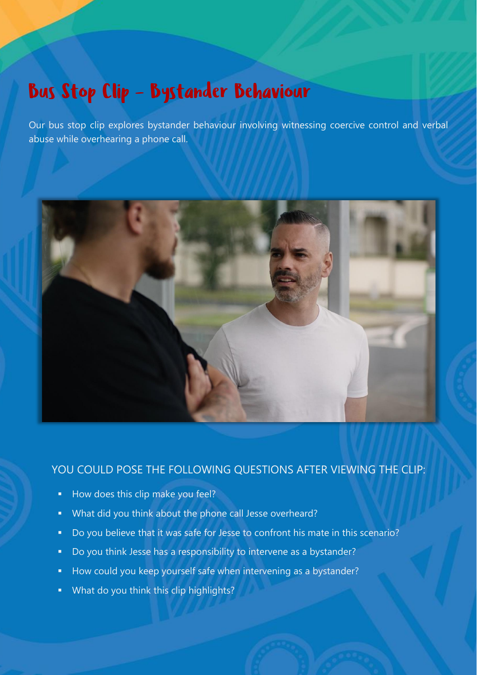## **Bus Stop Clip - Bystander Behaviour**

Our bus stop clip explores bystander behaviour involving witnessing coercive control and verbal abuse while overhearing a phone call.



#### YOU COULD POSE THE FOLLOWING QUESTIONS AFTER VIEWING THE CLIP:

- How does this clip make you feel?
- What did you think about the phone call Jesse overheard?
- Do you believe that it was safe for Jesse to confront his mate in this scenario?
- Do you think Jesse has a responsibility to intervene as a bystander?
- How could you keep yourself safe when intervening as a bystander?
- What do you think this clip highlights?